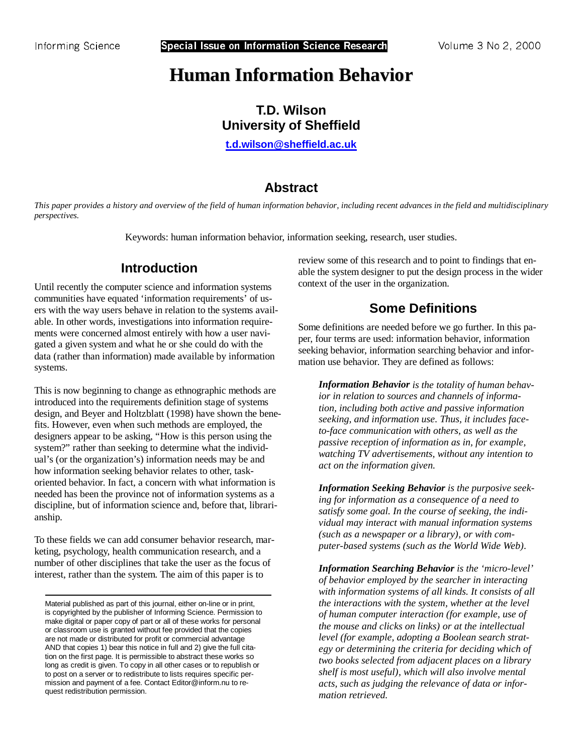**T.D. Wilson University of Sheffield** 

**[t.d.wilson@sheffield.ac.uk](mailto:t.d.wilson@sheffield.ac.uk)** 

# **Abstract**

*This paper provides a history and overview of the field of human information behavior, including recent advances in the field and multidisciplinary perspectives.* 

Keywords: human information behavior, information seeking, research, user studies.

# **Introduction**

Until recently the computer science and information systems communities have equated 'information requirements' of users with the way users behave in relation to the systems available. In other words, investigations into information requirements were concerned almost entirely with how a user navigated a given system and what he or she could do with the data (rather than information) made available by information systems.

This is now beginning to change as ethnographic methods are introduced into the requirements definition stage of systems design, and Beyer and Holtzblatt (1998) have shown the benefits. However, even when such methods are employed, the designers appear to be asking, "How is this person using the system?" rather than seeking to determine what the individual's (or the organization's) information needs may be and how information seeking behavior relates to other, taskoriented behavior. In fact, a concern with what information is needed has been the province not of information systems as a discipline, but of information science and, before that, librarianship.

To these fields we can add consumer behavior research, marketing, psychology, health communication research, and a number of other disciplines that take the user as the focus of interest, rather than the system. The aim of this paper is to

review some of this research and to point to findings that enable the system designer to put the design process in the wider context of the user in the organization.

# **Some Definitions**

Some definitions are needed before we go further. In this paper, four terms are used: information behavior, information seeking behavior, information searching behavior and information use behavior. They are defined as follows:

*Information Behavior is the totality of human behavior in relation to sources and channels of information, including both active and passive information seeking, and information use. Thus, it includes faceto-face communication with others, as well as the passive reception of information as in, for example, watching TV advertisements, without any intention to act on the information given.* 

*Information Seeking Behavior is the purposive seeking for information as a consequence of a need to satisfy some goal. In the course of seeking, the individual may interact with manual information systems (such as a newspaper or a library), or with computer-based systems (such as the World Wide Web).* 

*Information Searching Behavior is the 'micro-level' of behavior employed by the searcher in interacting with information systems of all kinds. It consists of all the interactions with the system, whether at the level of human computer interaction (for example, use of the mouse and clicks on links) or at the intellectual level (for example, adopting a Boolean search strategy or determining the criteria for deciding which of two books selected from adjacent places on a library shelf is most useful), which will also involve mental acts, such as judging the relevance of data or information retrieved.* 

Material published as part of this journal, either on-line or in print, is copyrighted by the publisher of Informing Science. Permission to make digital or paper copy of part or all of these works for personal or classroom use is granted without fee provided that the copies are not made or distributed for profit or commercial advantage AND that copies 1) bear this notice in full and 2) give the full citation on the first page. It is permissible to abstract these works so long as credit is given. To copy in all other cases or to republish or to post on a server or to redistribute to lists requires specific permission and payment of a fee. Contact Editor@inform.nu to request redistribution permission.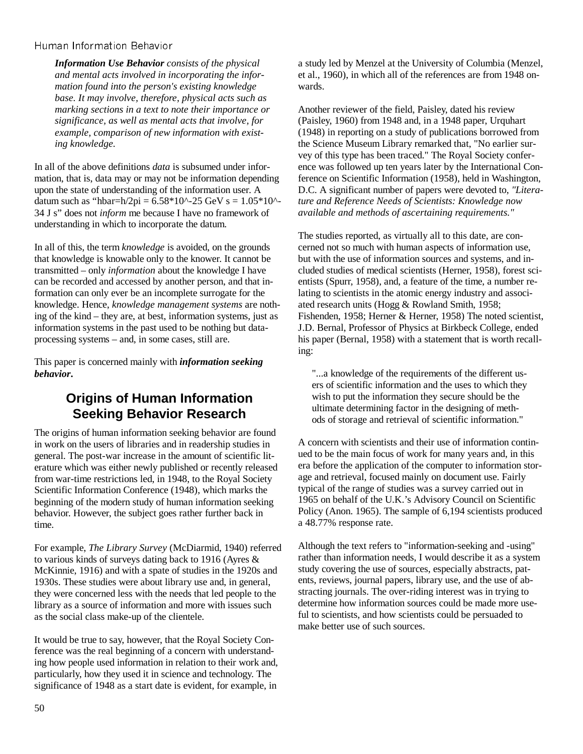*Information Use Behavior consists of the physical and mental acts involved in incorporating the information found into the person's existing knowledge base. It may involve, therefore, physical acts such as marking sections in a text to note their importance or significance, as well as mental acts that involve, for example, comparison of new information with existing knowledge.* 

In all of the above definitions *data* is subsumed under information, that is, data may or may not be information depending upon the state of understanding of the information user. A datum such as "hbar=h/2pi =  $6.58*10^{\circ}$ -25 GeV s =  $1.05*10^{\circ}$ -34 J s" does not *inform* me because I have no framework of understanding in which to incorporate the datum.

In all of this, the term *knowledge* is avoided, on the grounds that knowledge is knowable only to the knower. It cannot be transmitted – only *information* about the knowledge I have can be recorded and accessed by another person, and that information can only ever be an incomplete surrogate for the knowledge. Hence, *knowledge management systems* are nothing of the kind – they are, at best, information systems, just as information systems in the past used to be nothing but dataprocessing systems – and, in some cases, still are.

This paper is concerned mainly with *information seeking behavior***.** 

### **Origins of Human Information Seeking Behavior Research**

The origins of human information seeking behavior are found in work on the users of libraries and in readership studies in general. The post-war increase in the amount of scientific literature which was either newly published or recently released from war-time restrictions led, in 1948, to the Royal Society Scientific Information Conference (1948), which marks the beginning of the modern study of human information seeking behavior. However, the subject goes rather further back in time.

For example, *The Library Survey* (McDiarmid, 1940) referred to various kinds of surveys dating back to 1916 (Ayres & McKinnie, 1916) and with a spate of studies in the 1920s and 1930s. These studies were about library use and, in general, they were concerned less with the needs that led people to the library as a source of information and more with issues such as the social class make-up of the clientele.

It would be true to say, however, that the Royal Society Conference was the real beginning of a concern with understanding how people used information in relation to their work and, particularly, how they used it in science and technology. The significance of 1948 as a start date is evident, for example, in

a study led by Menzel at the University of Columbia (Menzel, et al., 1960), in which all of the references are from 1948 onwards.

Another reviewer of the field, Paisley, dated his review (Paisley, 1960) from 1948 and, in a 1948 paper, Urquhart (1948) in reporting on a study of publications borrowed from the Science Museum Library remarked that, "No earlier survey of this type has been traced." The Royal Society conference was followed up ten years later by the International Conference on Scientific Information (1958), held in Washington, D.C. A significant number of papers were devoted to, *"Literature and Reference Needs of Scientists: Knowledge now available and methods of ascertaining requirements."*

The studies reported, as virtually all to this date, are concerned not so much with human aspects of information use, but with the use of information sources and systems, and included studies of medical scientists (Herner, 1958), forest scientists (Spurr, 1958), and, a feature of the time, a number relating to scientists in the atomic energy industry and associated research units (Hogg & Rowland Smith, 1958; Fishenden, 1958; Herner & Herner, 1958) The noted scientist, J.D. Bernal, Professor of Physics at Birkbeck College, ended his paper (Bernal, 1958) with a statement that is worth recalling:

"...a knowledge of the requirements of the different users of scientific information and the uses to which they wish to put the information they secure should be the ultimate determining factor in the designing of methods of storage and retrieval of scientific information."

A concern with scientists and their use of information continued to be the main focus of work for many years and, in this era before the application of the computer to information storage and retrieval, focused mainly on document use. Fairly typical of the range of studies was a survey carried out in 1965 on behalf of the U.K.'s Advisory Council on Scientific Policy (Anon. 1965). The sample of 6,194 scientists produced a 48.77% response rate.

Although the text refers to "information-seeking and -using" rather than information needs, I would describe it as a system study covering the use of sources, especially abstracts, patents, reviews, journal papers, library use, and the use of abstracting journals. The over-riding interest was in trying to determine how information sources could be made more useful to scientists, and how scientists could be persuaded to make better use of such sources.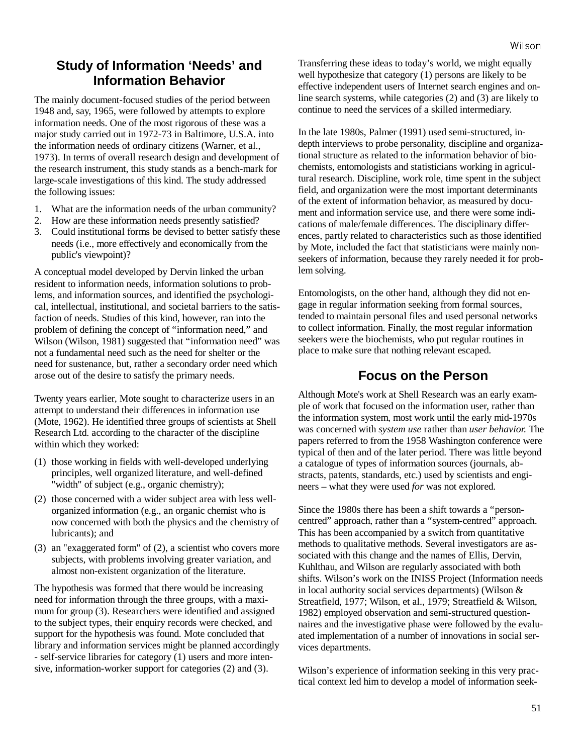## **Study of Information 'Needs' and Information Behavior**

The mainly document-focused studies of the period between 1948 and, say, 1965, were followed by attempts to explore information needs. One of the most rigorous of these was a major study carried out in 1972-73 in Baltimore, U.S.A. into the information needs of ordinary citizens (Warner, et al., 1973). In terms of overall research design and development of the research instrument, this study stands as a bench-mark for large-scale investigations of this kind. The study addressed the following issues:

- 1. What are the information needs of the urban community?
- 2. How are these information needs presently satisfied?
- 3. Could institutional forms be devised to better satisfy these needs (i.e., more effectively and economically from the public's viewpoint)?

A conceptual model developed by Dervin linked the urban resident to information needs, information solutions to problems, and information sources, and identified the psychological, intellectual, institutional, and societal barriers to the satisfaction of needs. Studies of this kind, however, ran into the problem of defining the concept of "information need," and Wilson (Wilson, 1981) suggested that "information need" was not a fundamental need such as the need for shelter or the need for sustenance, but, rather a secondary order need which arose out of the desire to satisfy the primary needs.

Twenty years earlier, Mote sought to characterize users in an attempt to understand their differences in information use (Mote, 1962). He identified three groups of scientists at Shell Research Ltd. according to the character of the discipline within which they worked:

- (1) those working in fields with well-developed underlying principles, well organized literature, and well-defined "width" of subject (e.g., organic chemistry);
- (2) those concerned with a wider subject area with less wellorganized information (e.g., an organic chemist who is now concerned with both the physics and the chemistry of lubricants); and
- (3) an "exaggerated form" of (2), a scientist who covers more subjects, with problems involving greater variation, and almost non-existent organization of the literature.

The hypothesis was formed that there would be increasing need for information through the three groups, with a maximum for group (3). Researchers were identified and assigned to the subject types, their enquiry records were checked, and support for the hypothesis was found. Mote concluded that library and information services might be planned accordingly - self-service libraries for category (1) users and more intensive, information-worker support for categories (2) and (3).

Transferring these ideas to today's world, we might equally well hypothesize that category (1) persons are likely to be effective independent users of Internet search engines and online search systems, while categories (2) and (3) are likely to continue to need the services of a skilled intermediary.

In the late 1980s, Palmer (1991) used semi-structured, indepth interviews to probe personality, discipline and organizational structure as related to the information behavior of biochemists, entomologists and statisticians working in agricultural research. Discipline, work role, time spent in the subject field, and organization were the most important determinants of the extent of information behavior, as measured by document and information service use, and there were some indications of male/female differences. The disciplinary differences, partly related to characteristics such as those identified by Mote, included the fact that statisticians were mainly nonseekers of information, because they rarely needed it for problem solving.

Entomologists, on the other hand, although they did not engage in regular information seeking from formal sources, tended to maintain personal files and used personal networks to collect information. Finally, the most regular information seekers were the biochemists, who put regular routines in place to make sure that nothing relevant escaped.

### **Focus on the Person**

Although Mote's work at Shell Research was an early example of work that focused on the information user, rather than the information system, most work until the early mid-1970s was concerned with *system use* rather than *user behavior.* The papers referred to from the 1958 Washington conference were typical of then and of the later period. There was little beyond a catalogue of types of information sources (journals, abstracts, patents, standards, etc.) used by scientists and engineers – what they were used *for* was not explored.

Since the 1980s there has been a shift towards a "personcentred" approach, rather than a "system-centred" approach. This has been accompanied by a switch from quantitative methods to qualitative methods. Several investigators are associated with this change and the names of Ellis, Dervin, Kuhlthau, and Wilson are regularly associated with both shifts. Wilson's work on the INISS Project (Information needs in local authority social services departments) (Wilson & Streatfield, 1977; Wilson, et al., 1979; Streatfield & Wilson, 1982) employed observation and semi-structured questionnaires and the investigative phase were followed by the evaluated implementation of a number of innovations in social services departments.

Wilson's experience of information seeking in this very practical context led him to develop a model of information seek-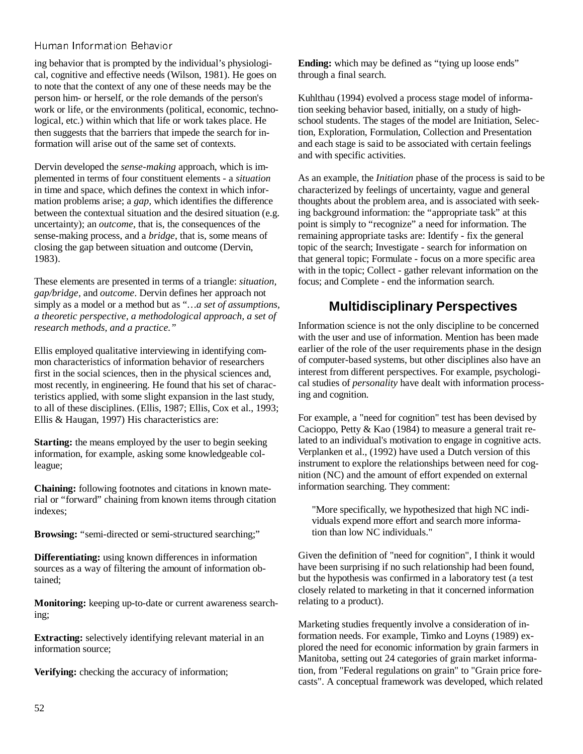ing behavior that is prompted by the individual's physiological, cognitive and effective needs (Wilson, 1981). He goes on to note that the context of any one of these needs may be the person him- or herself, or the role demands of the person's work or life, or the environments (political, economic, technological, etc.) within which that life or work takes place. He then suggests that the barriers that impede the search for information will arise out of the same set of contexts.

Dervin developed the *sense-making* approach, which is implemented in terms of four constituent elements - a *situation* in time and space, which defines the context in which information problems arise; a *gap,* which identifies the difference between the contextual situation and the desired situation (e.g. uncertainty); an *outcome*, that is, the consequences of the sense-making process, and a *bridge*, that is, some means of closing the gap between situation and outcome (Dervin, 1983).

These elements are presented in terms of a triangle: *situation, gap/bridge,* and *outcome*. Dervin defines her approach not simply as a model or a method but as "*…a set of assumptions, a theoretic perspective, a methodological approach, a set of research methods, and a practice."*

Ellis employed qualitative interviewing in identifying common characteristics of information behavior of researchers first in the social sciences, then in the physical sciences and, most recently, in engineering. He found that his set of characteristics applied, with some slight expansion in the last study, to all of these disciplines. (Ellis, 1987; Ellis, Cox et al., 1993; Ellis & Haugan, 1997) His characteristics are:

**Starting:** the means employed by the user to begin seeking information, for example, asking some knowledgeable colleague;

**Chaining:** following footnotes and citations in known material or "forward" chaining from known items through citation indexes;

**Browsing:** "semi-directed or semi-structured searching;"

**Differentiating:** using known differences in information sources as a way of filtering the amount of information obtained;

**Monitoring:** keeping up-to-date or current awareness searching;

**Extracting:** selectively identifying relevant material in an information source;

**Verifying:** checking the accuracy of information;

**Ending:** which may be defined as "tying up loose ends" through a final search.

Kuhlthau (1994) evolved a process stage model of information seeking behavior based, initially, on a study of highschool students. The stages of the model are Initiation, Selection, Exploration, Formulation, Collection and Presentation and each stage is said to be associated with certain feelings and with specific activities.

As an example, the *Initiation* phase of the process is said to be characterized by feelings of uncertainty, vague and general thoughts about the problem area, and is associated with seeking background information: the "appropriate task" at this point is simply to "recognize" a need for information. The remaining appropriate tasks are: Identify - fix the general topic of the search; Investigate - search for information on that general topic; Formulate - focus on a more specific area with in the topic; Collect - gather relevant information on the focus; and Complete - end the information search.

# **Multidisciplinary Perspectives**

Information science is not the only discipline to be concerned with the user and use of information. Mention has been made earlier of the role of the user requirements phase in the design of computer-based systems, but other disciplines also have an interest from different perspectives. For example, psychological studies of *personality* have dealt with information processing and cognition.

For example, a "need for cognition" test has been devised by Cacioppo, Petty & Kao (1984) to measure a general trait related to an individual's motivation to engage in cognitive acts. Verplanken et al., (1992) have used a Dutch version of this instrument to explore the relationships between need for cognition (NC) and the amount of effort expended on external information searching. They comment:

"More specifically, we hypothesized that high NC individuals expend more effort and search more information than low NC individuals."

Given the definition of "need for cognition", I think it would have been surprising if no such relationship had been found, but the hypothesis was confirmed in a laboratory test (a test closely related to marketing in that it concerned information relating to a product).

Marketing studies frequently involve a consideration of information needs. For example, Timko and Loyns (1989) explored the need for economic information by grain farmers in Manitoba, setting out 24 categories of grain market information, from "Federal regulations on grain" to "Grain price forecasts". A conceptual framework was developed, which related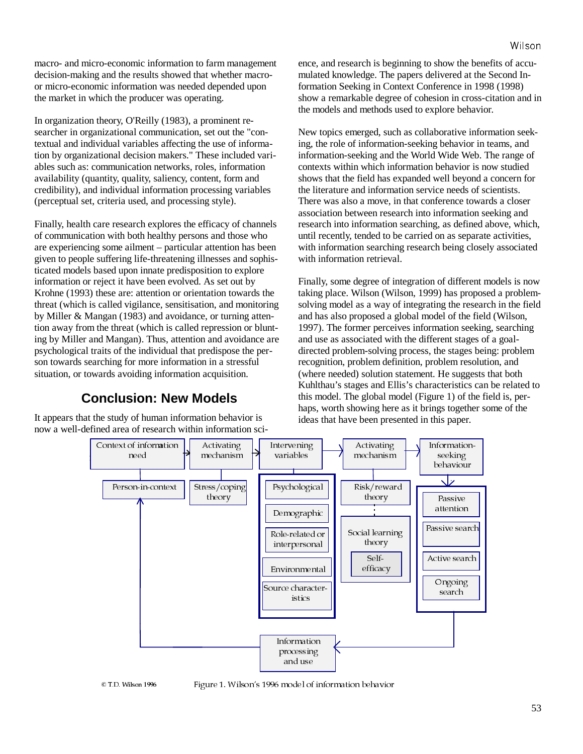macro- and micro-economic information to farm management decision-making and the results showed that whether macroor micro-economic information was needed depended upon the market in which the producer was operating.

In organization theory, O'Reilly (1983), a prominent researcher in organizational communication, set out the "contextual and individual variables affecting the use of information by organizational decision makers." These included variables such as: communication networks, roles, information availability (quantity, quality, saliency, content, form and credibility), and individual information processing variables (perceptual set, criteria used, and processing style).

Finally, health care research explores the efficacy of channels of communication with both healthy persons and those who are experiencing some ailment – particular attention has been given to people suffering life-threatening illnesses and sophisticated models based upon innate predisposition to explore information or reject it have been evolved. As set out by Krohne (1993) these are: attention or orientation towards the threat (which is called vigilance, sensitisation, and monitoring by Miller & Mangan (1983) and avoidance, or turning attention away from the threat (which is called repression or blunting by Miller and Mangan). Thus, attention and avoidance are psychological traits of the individual that predispose the person towards searching for more information in a stressful situation, or towards avoiding information acquisition.

# **Conclusion: New Models**

It appears that the study of human information behavior is now a well-defined area of research within information science, and research is beginning to show the benefits of accumulated knowledge. The papers delivered at the Second Information Seeking in Context Conference in 1998 (1998) show a remarkable degree of cohesion in cross-citation and in the models and methods used to explore behavior.

New topics emerged, such as collaborative information seeking, the role of information-seeking behavior in teams, and information-seeking and the World Wide Web. The range of contexts within which information behavior is now studied shows that the field has expanded well beyond a concern for the literature and information service needs of scientists. There was also a move, in that conference towards a closer association between research into information seeking and research into information searching, as defined above, which, until recently, tended to be carried on as separate activities, with information searching research being closely associated with information retrieval.

Finally, some degree of integration of different models is now taking place. Wilson (Wilson, 1999) has proposed a problemsolving model as a way of integrating the research in the field and has also proposed a global model of the field (Wilson, 1997). The former perceives information seeking, searching and use as associated with the different stages of a goaldirected problem-solving process, the stages being: problem recognition, problem definition, problem resolution, and (where needed) solution statement. He suggests that both Kuhlthau's stages and Ellis's characteristics can be related to this model. The global model (Figure 1) of the field is, perhaps, worth showing here as it brings together some of the ideas that have been presented in this paper.



7' :LOVRQ )LJXUH :LOVRQ·V PRGHO RI LQIRUPDWLRQ EHKDYLRU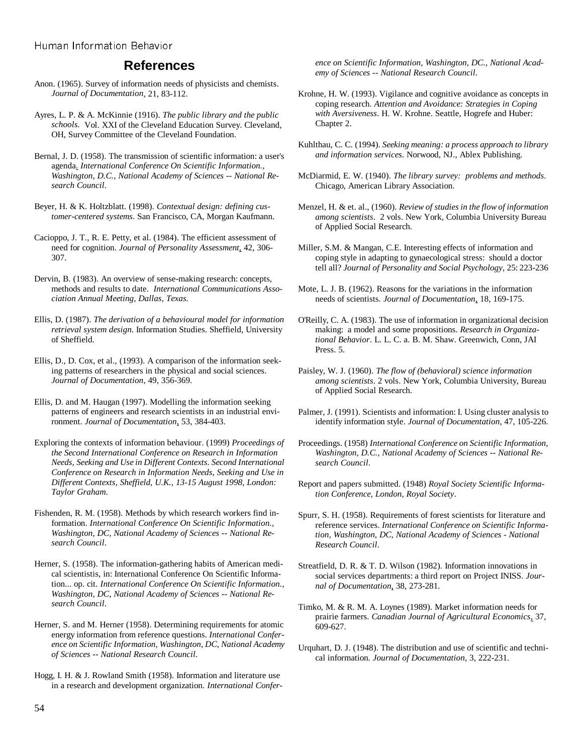#### **References**

Anon. (1965). Survey of information needs of physicists and chemists. *Journal of Documentation*, 21, 83-112.

Ayres, L. P. & A. McKinnie (1916). *The public library and the public schools.* Vol. XXI of the Cleveland Education Survey. Cleveland, OH, Survey Committee of the Cleveland Foundation.

Bernal, J. D. (1958). The transmission of scientific information: a user's agenda. *International Conference On Scientific Information., Washington, D.C., National Academy of Sciences -- National Research Council*.

Beyer, H. & K. Holtzblatt. (1998). *Contextual design: defining customer-centered systems*. San Francisco, CA, Morgan Kaufmann.

Cacioppo, J. T., R. E. Petty, et al. (1984). The efficient assessment of need for cognition. *Journal of Personality Assessment*, 42, 306- 307.

Dervin, B. (1983). An overview of sense-making research: concepts, methods and results to date. *International Communications Association Annual Meeting, Dallas, Texas.* 

Ellis, D. (1987). *The derivation of a behavioural model for information retrieval system design*. Information Studies. Sheffield, University of Sheffield.

Ellis, D., D. Cox, et al., (1993). A comparison of the information seeking patterns of researchers in the physical and social sciences. *Journal of Documentation*, 49, 356-369.

Ellis, D. and M. Haugan (1997). Modelling the information seeking patterns of engineers and research scientists in an industrial environment. *Journal of Documentation*, 53, 384-403.

Exploring the contexts of information behaviour. (1999) *Proceedings of the Second International Conference on Research in Information Needs, Seeking and Use in Different Contexts. Second International Conference on Research in Information Needs, Seeking and Use in Different Contexts, Sheffield, U.K., 13-15 August 1998, London: Taylor Graham*.

Fishenden, R. M. (1958). Methods by which research workers find information. *International Conference On Scientific Information., Washington, DC, National Academy of Sciences -- National Research Council*.

Herner, S. (1958). The information-gathering habits of American medical scientistis, in: International Conference On Scientific Information... op. cit. *International Conference On Scientific Information., Washington, DC, National Academy of Sciences -- National Research Council*.

Herner, S. and M. Herner (1958). Determining requirements for atomic energy information from reference questions. *International Conference on Scientific Information, Washington, DC, National Academy of Sciences -- National Research Council*.

Hogg, I. H. & J. Rowland Smith (1958). Information and literature use in a research and development organization. *International Confer-* *ence on Scientific Information, Washington, DC., National Academy of Sciences -- National Research Council*.

- Krohne, H. W. (1993). Vigilance and cognitive avoidance as concepts in coping research. *Attention and Avoidance: Strategies in Coping with Aversiveness*. H. W. Krohne. Seattle, Hogrefe and Huber: Chapter 2.
- Kuhlthau, C. C. (1994). *Seeking meaning: a process approach to library and information services.* Norwood, NJ., Ablex Publishing.
- McDiarmid, E. W. (1940). *The library survey: problems and methods*. Chicago, American Library Association.
- Menzel, H. & et. al., (1960). *Review of studies in the flow of information among scientists*. 2 vols. New York, Columbia University Bureau of Applied Social Research.

Miller, S.M. & Mangan, C.E. Interesting effects of information and coping style in adapting to gynaecological stress: should a doctor tell all? *Journal of Personality and Social Psychology*, 25: 223-236

- Mote, L. J. B. (1962). Reasons for the variations in the information needs of scientists. *Journal of Documentation*, 18, 169-175.
- O'Reilly, C. A. (1983). The use of information in organizational decision making: a model and some propositions. *Research in Organizational Behavior*. L. L. C. a. B. M. Shaw. Greenwich, Conn, JAI Press. 5.

Paisley, W. J. (1960). *The flow of (behavioral) science information among scientists*. 2 vols. New York, Columbia University, Bureau of Applied Social Research.

- Palmer, J. (1991). Scientists and information: I. Using cluster analysis to identify information style. *Journal of Documentation*, 47, 105-226.
- Proceedings. (1958) *International Conference on Scientific Information, Washington, D.C., National Academy of Sciences -- National Research Council*.
- Report and papers submitted. (1948) *Royal Society Scientific Information Conference, London, Royal Society*.

Spurr, S. H. (1958). Requirements of forest scientists for literature and reference services. *International Conference on Scientific Information, Washington, DC, National Academy of Sciences - National Research Council*.

- Streatfield, D. R. & T. D. Wilson (1982). Information innovations in social services departments: a third report on Project INISS. *Journal of Documentation*, 38, 273-281.
- Timko, M. & R. M. A. Loynes (1989). Market information needs for prairie farmers. *Canadian Journal of Agricultural Economics*, 37, 609-627.
- Urquhart, D. J. (1948). The distribution and use of scientific and technical information*. Journal of Documentation*, 3, 222-231.